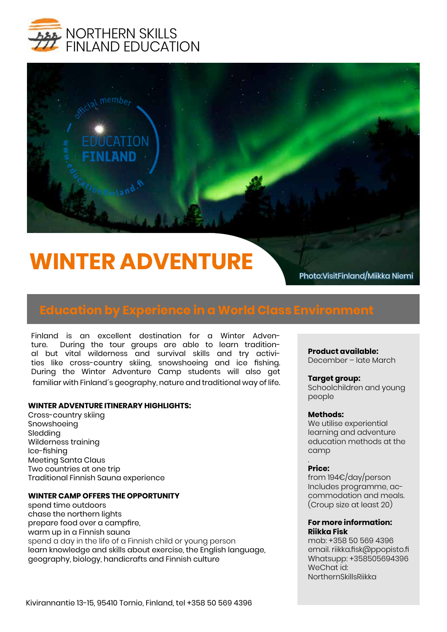



# **WINTER ADVENTURE**

Photo:VisitFinland/Miikka Niemi

Finland is an excellent destination for a Winter Adventure. During the tour groups are able to learn traditional but vital wilderness and survival skills and try activities like cross-country skiing, snowshoeing and ice fishing. During the Winter Adventure Camp students will also get familiar with Finland´s geography, nature and traditional way of life.

#### **WINTER ADVENTURE ITINERARY HIGHLIGHTS:**

Cross-country skiing Snowshoeing Sledding Wilderness training Ice-fishing Meeting Santa Claus Two countries at one trip Traditional Finnish Sauna experience

#### **WINTER CAMP OFFERS THE OPPORTUNITY**

spend time outdoors chase the northern lights prepare food over a campfire, warm up in a Finnish sauna spend a day in the life of a Finnish child or young person learn knowledge and skills about exercise, the English language, geography, biology, handicrafts and Finnish culture

#### **Product available:**

December – late March

#### **Target group:**

Schoolchildren and young people

#### **Methods:**

We utilise experiential learning and adventure education methods at the camp

#### . **Price:**

from 194€/day/person Includes programme, accommodation and meals. (Croup size at least 20)

#### **For more information: Riikka Fisk**

mob: +358 50 569 4396 email. riikka.fisk@ppopisto.fi Whatsupp: +358505694396 WeChat id: NorthernSkillsRiikka